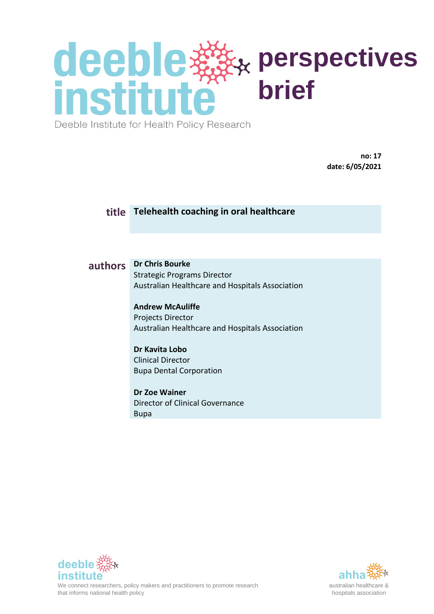Deeble Institute for Health Policy Research

**no: 17 date: 6/05/2021**

#### **title Telehealth coaching in oral healthcare**

#### **authors Dr Chris Bourke**

Strategic Programs Director Australian Healthcare and Hospitals Association

**Andrew McAuliffe** Projects Director Australian Healthcare and Hospitals Association

#### **Dr Kavita Lobo**

Clinical Director Bupa Dental Corporation

**Dr Zoe Wainer** Director of Clinical Governance Bupa



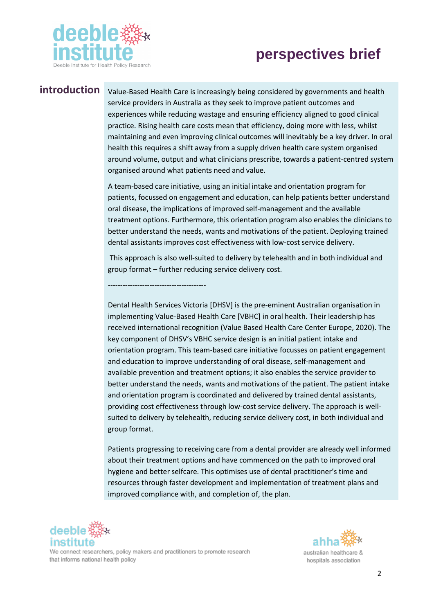

**introduction** Value-Based Health Care is increasingly being considered by governments and health service providers in Australia as they seek to improve patient outcomes and experiences while reducing wastage and ensuring efficiency aligned to good clinical practice. Rising health care costs mean that efficiency, doing more with less, whilst maintaining and even improving clinical outcomes will inevitably be a key driver. In oral health this requires a shift away from a supply driven health care system organised around volume, output and what clinicians prescribe, towards a patient-centred system organised around what patients need and value.

> A team-based care initiative, using an initial intake and orientation program for patients, focussed on engagement and education, can help patients better understand oral disease, the implications of improved self-management and the available treatment options. Furthermore, this orientation program also enables the clinicians to better understand the needs, wants and motivations of the patient. Deploying trained dental assistants improves cost effectiveness with low-cost service delivery.

This approach is also well-suited to delivery by telehealth and in both individual and group format – further reducing service delivery cost.

----------------------------------------

Dental Health Services Victoria [DHSV] is the pre-eminent Australian organisation in implementing Value-Based Health Care [VBHC] in oral health. Their leadership has received international recognition (Value Based Health Care Center Europe, 2020). The key component of DHSV's VBHC service design is an initial patient intake and orientation program. This team-based care initiative focusses on patient engagement and education to improve understanding of oral disease, self-management and available prevention and treatment options; it also enables the service provider to better understand the needs, wants and motivations of the patient. The patient intake and orientation program is coordinated and delivered by trained dental assistants, providing cost effectiveness through low-cost service delivery. The approach is wellsuited to delivery by telehealth, reducing service delivery cost, in both individual and group format.

Patients progressing to receiving care from a dental provider are already well informed about their treatment options and have commenced on the path to improved oral hygiene and better selfcare. This optimises use of dental practitioner's time and resources through faster development and implementation of treatment plans and improved compliance with, and completion of, the plan.



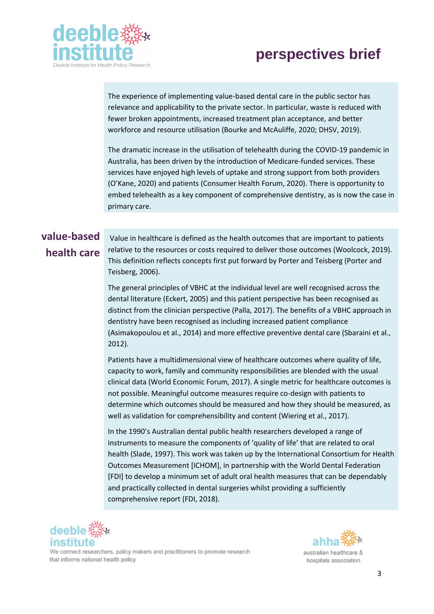



The experience of implementing value-based dental care in the public sector has relevance and applicability to the private sector. In particular, waste is reduced with fewer broken appointments, increased treatment plan acceptance, and better workforce and resource utilisation (Bourke and McAuliffe, 2020; DHSV, 2019).

The dramatic increase in the utilisation of telehealth during the COVID-19 pandemic in Australia, has been driven by the introduction of Medicare-funded services. These services have enjoyed high levels of uptake and strong support from both providers (O'Kane, 2020) and patients (Consumer Health Forum, 2020). There is opportunity to embed telehealth as a key component of comprehensive dentistry, as is now the case in primary care.

#### **value-based health care**

Value in healthcare is defined as the health outcomes that are important to patients relative to the resources or costs required to deliver those outcomes (Woolcock, 2019). This definition reflects concepts first put forward by Porter and Teisberg (Porter and Teisberg, 2006).

The general principles of VBHC at the individual level are well recognised across the dental literature (Eckert, 2005) and this patient perspective has been recognised as distinct from the clinician perspective (Palla, 2017). The benefits of a VBHC approach in dentistry have been recognised as including increased patient compliance (Asimakopoulou et al., 2014) and more effective preventive dental care (Sbaraini et al., 2012).

Patients have a multidimensional view of healthcare outcomes where quality of life, capacity to work, family and community responsibilities are blended with the usual clinical data (World Economic Forum, 2017). A single metric for healthcare outcomes is not possible. Meaningful outcome measures require co-design with patients to determine which outcomes should be measured and how they should be measured, as well as validation for comprehensibility and content (Wiering et al., 2017).

In the 1990's Australian dental public health researchers developed a range of instruments to measure the components of 'quality of life' that are related to oral health (Slade, 1997). This work was taken up by the International Consortium for Health Outcomes Measurement [ICHOM], in partnership with the World Dental Federation [FDI] to develop a minimum set of adult oral health measures that can be dependably and practically collected in dental surgeries whilst providing a sufficiently comprehensive report (FDI, 2018).





hospitals association

We connect researchers, policy makers and practitioners to promote research that informs national health policy

3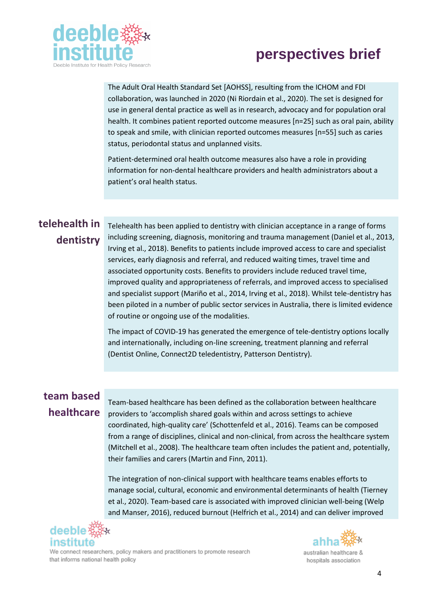

The Adult Oral Health Standard Set [AOHSS], resulting from the ICHOM and FDI collaboration, was launched in 2020 (Ni Riordain et al., 2020). The set is designed for use in general dental practice as well as in research, advocacy and for population oral health. It combines patient reported outcome measures [n=25] such as oral pain, ability to speak and smile, with clinician reported outcomes measures [n=55] such as caries status, periodontal status and unplanned visits.

Patient-determined oral health outcome measures also have a role in providing information for non-dental healthcare providers and health administrators about a patient's oral health status.

#### **telehealth in dentistry**

Telehealth has been applied to dentistry with clinician acceptance in a range of forms including screening, diagnosis, monitoring and trauma management (Daniel et al., 2013, Irving et al., 2018). Benefits to patients include improved access to care and specialist services, early diagnosis and referral, and reduced waiting times, travel time and associated opportunity costs. Benefits to providers include reduced travel time, improved quality and appropriateness of referrals, and improved access to specialised and specialist support (Mariño et al., 2014, Irving et al., 2018). Whilst tele-dentistry has been piloted in a number of public sector services in Australia, there is limited evidence of routine or ongoing use of the modalities.

The impact of COVID-19 has generated the emergence of tele-dentistry options locally and internationally, including on-line screening, treatment planning and referral (Dentist Online, Connect2D teledentistry, Patterson Dentistry).

#### **team based healthcare**

Team-based healthcare has been defined as the collaboration between healthcare providers to 'accomplish shared goals within and across settings to achieve coordinated, high-quality care' (Schottenfeld et al., 2016). Teams can be composed from a range of disciplines, clinical and non-clinical, from across the healthcare system (Mitchell et al., 2008). The healthcare team often includes the patient and, potentially, their families and carers (Martin and Finn, 2011).

The integration of non-clinical support with healthcare teams enables efforts to manage social, cultural, economic and environmental determinants of health (Tierney et al., 2020). Team-based care is associated with improved clinician well-being (Welp and Manser, 2016), reduced burnout (Helfrich et al., 2014) and can deliver improved





We connect researchers, policy makers and practitioners to promote research that informs national health policy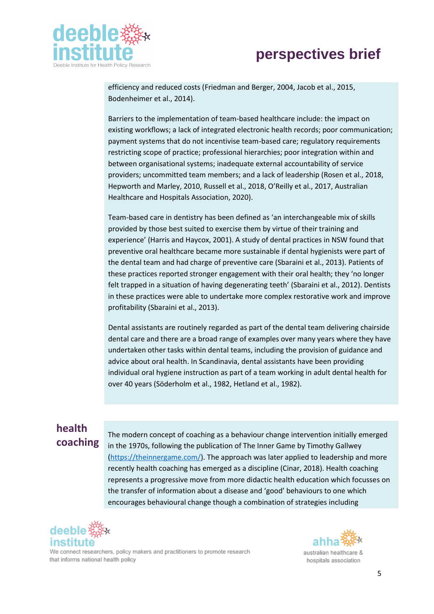

efficiency and reduced costs (Friedman and Berger, 2004, Jacob et al., 2015, Bodenheimer et al., 2014).

Barriers to the implementation of team-based healthcare include: the impact on existing workflows; a lack of integrated electronic health records; poor communication; payment systems that do not incentivise team-based care; regulatory requirements restricting scope of practice; professional hierarchies; poor integration within and between organisational systems; inadequate external accountability of service providers; uncommitted team members; and a lack of leadership (Rosen et al., 2018, Hepworth and Marley, 2010, Russell et al., 2018, O'Reilly et al., 2017, Australian Healthcare and Hospitals Association, 2020).

Team-based care in dentistry has been defined as 'an interchangeable mix of skills provided by those best suited to exercise them by virtue of their training and experience' (Harris and Haycox, 2001). A study of dental practices in NSW found that preventive oral healthcare became more sustainable if dental hygienists were part of the dental team and had charge of preventive care (Sbaraini et al., 2013). Patients of these practices reported stronger engagement with their oral health; they 'no longer felt trapped in a situation of having degenerating teeth' (Sbaraini et al., 2012). Dentists in these practices were able to undertake more complex restorative work and improve profitability (Sbaraini et al., 2013).

Dental assistants are routinely regarded as part of the dental team delivering chairside dental care and there are a broad range of examples over many years where they have undertaken other tasks within dental teams, including the provision of guidance and advice about oral health. In Scandinavia, dental assistants have been providing individual oral hygiene instruction as part of a team working in adult dental health for over 40 years (Söderholm et al., 1982, Hetland et al., 1982).

#### **health coaching**

The modern concept of coaching as a behaviour change intervention initially emerged in the 1970s, following the publication of The Inner Game by Timothy Gallwey [\(https://theinnergame.com/\)](https://theinnergame.com/). The approach was later applied to leadership and more recently health coaching has emerged as a discipline (Cinar, 2018). Health coaching represents a progressive move from more didactic health education which focusses on the transfer of information about a disease and 'good' behaviours to one which encourages behavioural change though a combination of strategies including



We connect researchers, policy makers and practitioners to promote research that informs national health policy

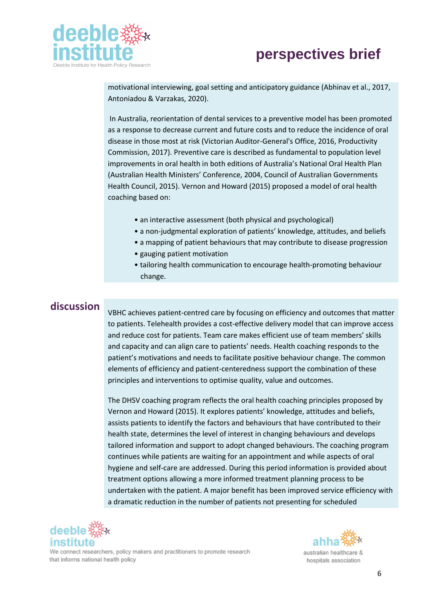



motivational interviewing, goal setting and anticipatory guidance (Abhinav et al., 2017, Antoniadou & Varzakas, 2020).

In Australia, reorientation of dental services to a preventive model has been promoted as a response to decrease current and future costs and to reduce the incidence of oral disease in those most at risk (Victorian Auditor-General's Office, 2016, Productivity Commission, 2017). Preventive care is described as fundamental to population level improvements in oral health in both editions of Australia's National Oral Health Plan (Australian Health Ministers' Conference, 2004, Council of Australian Governments Health Council, 2015). Vernon and Howard (2015) proposed a model of oral health coaching based on:

- an interactive assessment (both physical and psychological)
- a non-judgmental exploration of patients' knowledge, attitudes, and beliefs
- a mapping of patient behaviours that may contribute to disease progression
- gauging patient motivation
- tailoring health communication to encourage health-promoting behaviour change.

**discussion**<br>VBHC achieves patient-centred care by focusing on efficiency and outcomes that matter to patients. Telehealth provides a cost-effective delivery model that can improve access and reduce cost for patients. Team care makes efficient use of team members' skills and capacity and can align care to patients' needs. Health coaching responds to the patient's motivations and needs to facilitate positive behaviour change. The common elements of efficiency and patient-centeredness support the combination of these principles and interventions to optimise quality, value and outcomes.

> The DHSV coaching program reflects the oral health coaching principles proposed by Vernon and Howard (2015). It explores patients' knowledge, attitudes and beliefs, assists patients to identify the factors and behaviours that have contributed to their health state, determines the level of interest in changing behaviours and develops tailored information and support to adopt changed behaviours. The coaching program continues while patients are waiting for an appointment and while aspects of oral hygiene and self-care are addressed. During this period information is provided about treatment options allowing a more informed treatment planning process to be undertaken with the patient. A major benefit has been improved service efficiency with a dramatic reduction in the number of patients not presenting for scheduled



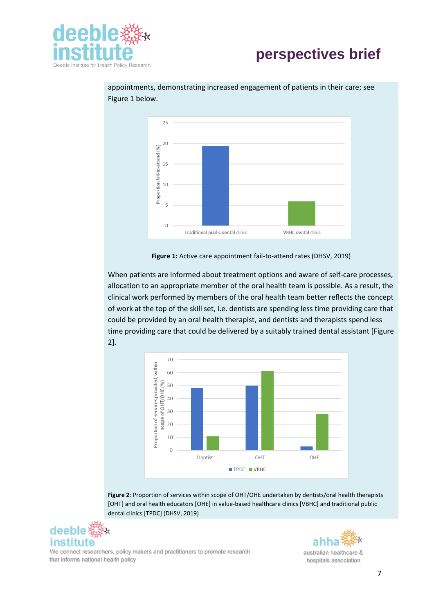



appointments, demonstrating increased engagement of patients in their care; see Figure 1 below.

**Figure 1:** Active care appointment fail-to-attend rates (DHSV, 2019)

When patients are informed about treatment options and aware of self-care processes, allocation to an appropriate member of the oral health team is possible. As a result, the clinical work performed by members of the oral health team better reflects the concept of work at the top of the skill set, i.e. dentists are spending less time providing care that could be provided by an oral health therapist, and dentists and therapists spend less time providing care that could be delivered by a suitably trained dental assistant [Figure 2].



**Figure 2**: Proportion of services within scope of OHT/OHE undertaken by dentists/oral health therapists [OHT] and oral health educators [OHE] in value-based healthcare clinics [VBHC] and traditional public dental clinics [TPDC] (DHSV, 2019)



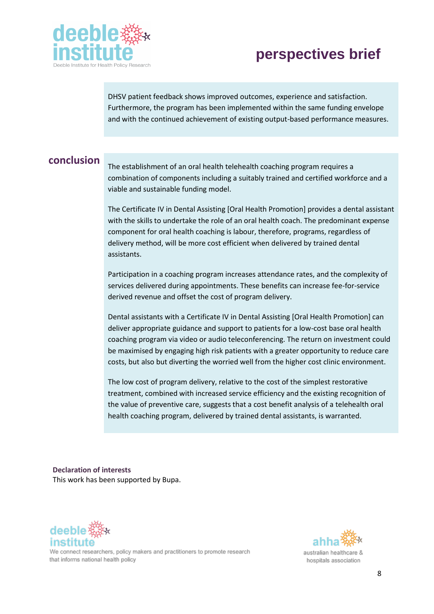

DHSV patient feedback shows improved outcomes, experience and satisfaction. Furthermore, the program has been implemented within the same funding envelope and with the continued achievement of existing output-based performance measures.

**conclusion**<br>The establishment of an oral health telehealth coaching program requires a combination of components including a suitably trained and certified workforce and a viable and sustainable funding model.

> The Certificate IV in Dental Assisting [Oral Health Promotion] provides a dental assistant with the skills to undertake the role of an oral health coach. The predominant expense component for oral health coaching is labour, therefore, programs, regardless of delivery method, will be more cost efficient when delivered by trained dental assistants.

Participation in a coaching program increases attendance rates, and the complexity of services delivered during appointments. These benefits can increase fee-for-service derived revenue and offset the cost of program delivery.

Dental assistants with a Certificate IV in Dental Assisting [Oral Health Promotion] can deliver appropriate guidance and support to patients for a low-cost base oral health coaching program via video or audio teleconferencing. The return on investment could be maximised by engaging high risk patients with a greater opportunity to reduce care costs, but also but diverting the worried well from the higher cost clinic environment.

The low cost of program delivery, relative to the cost of the simplest restorative treatment, combined with increased service efficiency and the existing recognition of the value of preventive care, suggests that a cost benefit analysis of a telehealth oral health coaching program, delivered by trained dental assistants, is warranted.

**Declaration of interests** This work has been supported by Bupa.





australian healthcare & hospitals association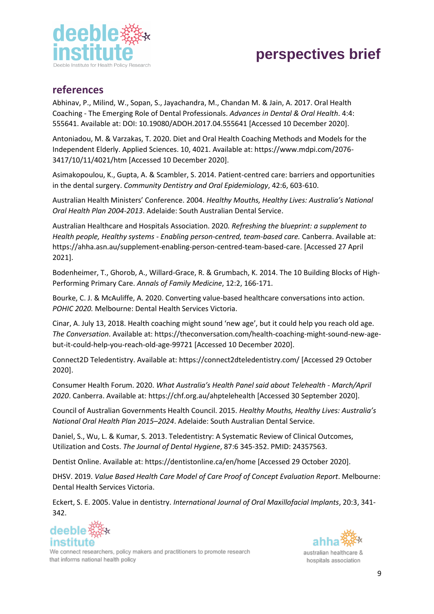

#### **references**

Abhinav, P., Milind, W., Sopan, S., Jayachandra, M., Chandan M. & Jain, A. 2017. Oral Health Coaching - The Emerging Role of Dental Professionals. *Advances in Dental & Oral Health*. 4:4: 555641. Available at: DOI: 10.19080/ADOH.2017.04.555641 [Accessed 10 December 2020].

Antoniadou, M. & Varzakas, T. 2020. Diet and Oral Health Coaching Methods and Models for the Independent Elderly. Applied Sciences. 10, 4021. Available at: https://www.mdpi.com/2076- 3417/10/11/4021/htm [Accessed 10 December 2020].

Asimakopoulou, K., Gupta, A. & Scambler, S. 2014. Patient‐centred care: barriers and opportunities in the dental surgery. *Community Dentistry and Oral Epidemiology*, 42:6, 603-610.

Australian Health Ministers' Conference. 2004. *Healthy Mouths, Healthy Lives: Australia's National Oral Health Plan 2004-2013*. Adelaide: South Australian Dental Service.

Australian Healthcare and Hospitals Association. 2020*. Refreshing the blueprint: a supplement to Health people, Healthy systems - Enabling person-centred, team-based care.* Canberra. Available at: https://ahha.asn.au/supplement-enabling-person-centred-team-based-care. [Accessed 27 April 2021].

Bodenheimer, T., Ghorob, A., Willard-Grace, R. & Grumbach, K. 2014. The 10 Building Blocks of High-Performing Primary Care. *Annals of Family Medicine*, 12:2, 166-171.

Bourke, C. J. & McAuliffe, A. 2020. Converting value-based healthcare conversations into action. *POHIC 2020.* Melbourne: Dental Health Services Victoria.

Cinar, A. July 13, 2018. Health coaching might sound 'new age', but it could help you reach old age. *The Conversation*. Available at: https://theconversation.com/health-coaching-might-sound-new-agebut-it-could-help-you-reach-old-age-99721 [Accessed 10 December 2020].

Connect2D Teledentistry. Available at: https://connect2dteledentistry.com/ [Accessed 29 October 2020].

Consumer Health Forum. 2020. *What Australia's Health Panel said about Telehealth - March/April 2020*. Canberra. Available at: https://chf.org.au/ahptelehealth [Accessed 30 September 2020].

Council of Australian Governments Health Council. 2015. *Healthy Mouths, Healthy Lives: Australia's National Oral Health Plan 2015–2024*. Adelaide: South Australian Dental Service.

Daniel, S., Wu, L. & Kumar, S. 2013. Teledentistry: A Systematic Review of Clinical Outcomes, Utilization and Costs. *The Journal of Dental Hygiene*, 87:6 345-352. PMID: 24357563.

Dentist Online. Available at: https://dentistonline.ca/en/home [Accessed 29 October 2020].

DHSV. 2019. *Value Based Health Care Model of Care Proof of Concept Evaluation Report*. Melbourne: Dental Health Services Victoria.

Eckert, S. E. 2005. Value in dentistry. *International Journal of Oral Maxillofacial Implants*, 20:3, 341- 342.





We connect researchers, policy makers and practitioners to promote research that informs national health policy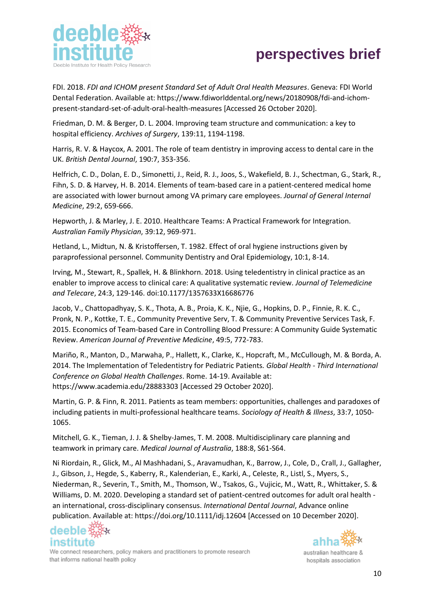

FDI. 2018. *FDI and ICHOM present Standard Set of Adult Oral Health Measures*. Geneva: FDI World Dental Federation. Available at: https://www.fdiworlddental.org/news/20180908/fdi-and-ichompresent-standard-set-of-adult-oral-health-measures [Accessed 26 October 2020].

Friedman, D. M. & Berger, D. L. 2004. Improving team structure and communication: a key to hospital efficiency. *Archives of Surgery*, 139:11, 1194-1198.

Harris, R. V. & Haycox, A. 2001. The role of team dentistry in improving access to dental care in the UK. *British Dental Journal*, 190:7, 353-356.

Helfrich, C. D., Dolan, E. D., Simonetti, J., Reid, R. J., Joos, S., Wakefield, B. J., Schectman, G., Stark, R., Fihn, S. D. & Harvey, H. B. 2014. Elements of team-based care in a patient-centered medical home are associated with lower burnout among VA primary care employees. *Journal of General Internal Medicine*, 29:2, 659-666.

Hepworth, J. & Marley, J. E. 2010. Healthcare Teams: A Practical Framework for Integration. *Australian Family Physician*, 39:12, 969-971.

Hetland, L., Midtun, N. & Kristoffersen, T. 1982. Effect of oral hygiene instructions given by paraprofessional personnel. Community Dentistry and Oral Epidemiology, 10:1, 8-14.

Irving, M., Stewart, R., Spallek, H. & Blinkhorn. 2018. Using teledentistry in clinical practice as an enabler to improve access to clinical care: A qualitative systematic review. *Journal of Telemedicine and Telecare*, 24:3, 129-146. doi:10.1177/1357633X16686776

Jacob, V., Chattopadhyay, S. K., Thota, A. B., Proia, K. K., Njie, G., Hopkins, D. P., Finnie, R. K. C., Pronk, N. P., Kottke, T. E., Community Preventive Serv, T. & Community Preventive Services Task, F. 2015. Economics of Team-based Care in Controlling Blood Pressure: A Community Guide Systematic Review. *American Journal of Preventive Medicine*, 49:5, 772-783.

Mariño, R., Manton, D., Marwaha, P., Hallett, K., Clarke, K., Hopcraft, M., McCullough, M. & Borda, A. 2014. The Implementation of Teledentistry for Pediatric Patients*. Global Health - Third International Conference on Global Health Challenges*. Rome. 14-19. Available at: https://www.academia.edu/28883303 [Accessed 29 October 2020].

Martin, G. P. & Finn, R. 2011. Patients as team members: opportunities, challenges and paradoxes of including patients in multi‐professional healthcare teams. *Sociology of Health & Illness*, 33:7, 1050- 1065.

Mitchell, G. K., Tieman, J. J. & Shelby‐James, T. M. 2008. Multidisciplinary care planning and teamwork in primary care. *Medical Journal of Australia*, 188:8, S61-S64.

Ni Riordain, R., Glick, M., Al Mashhadani, S., Aravamudhan, K., Barrow, J., Cole, D., Crall, J., Gallagher, J., Gibson, J., Hegde, S., Kaberry, R., Kalenderian, E., Karki, A., Celeste, R., Listl, S., Myers, S., Niederman, R., Severin, T., Smith, M., Thomson, W., Tsakos, G., Vujicic, M., Watt, R., Whittaker, S. & Williams, D. M. 2020. Developing a standard set of patient-centred outcomes for adult oral health an international, cross-disciplinary consensus. *International Dental Journal*, Advance online publication. Available at: https://doi.org/10.1111/idj.12604 [Accessed on 10 December 2020].



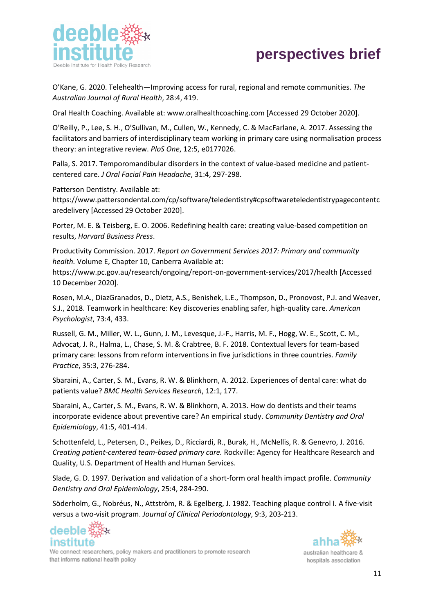

O'Kane, G. 2020. Telehealth—Improving access for rural, regional and remote communities. *The Australian Journal of Rural Health*, 28:4, 419.

Oral Health Coaching. Available at: www.oralhealthcoaching.com [Accessed 29 October 2020].

O'Reilly, P., Lee, S. H., O'Sullivan, M., Cullen, W., Kennedy, C. & MacFarlane, A. 2017. Assessing the facilitators and barriers of interdisciplinary team working in primary care using normalisation process theory: an integrative review. *PloS One*, 12:5, e0177026.

Palla, S. 2017. Temporomandibular disorders in the context of value-based medicine and patientcentered care. *J Oral Facial Pain Headache*, 31:4, 297-298.

Patterson Dentistry. Available at:

https://www.pattersondental.com/cp/software/teledentistry#cpsoftwareteledentistrypagecontentc aredelivery [Accessed 29 October 2020].

Porter, M. E. & Teisberg, E. O. 2006. Redefining health care: creating value-based competition on results, *Harvard Business Press*.

Productivity Commission. 2017. *Report on Government Services 2017: Primary and community health.* Volume E, Chapter 10, Canberra Available at:

https://www.pc.gov.au/research/ongoing/report-on-government-services/2017/health [Accessed 10 December 2020].

Rosen, M.A., DiazGranados, D., Dietz, A.S., Benishek, L.E., Thompson, D., Pronovost, P.J. and Weaver, S.J., 2018. Teamwork in healthcare: Key discoveries enabling safer, high-quality care. *American Psychologist*, 73:4, 433.

Russell, G. M., Miller, W. L., Gunn, J. M., Levesque, J.-F., Harris, M. F., Hogg, W. E., Scott, C. M., Advocat, J. R., Halma, L., Chase, S. M. & Crabtree, B. F. 2018. Contextual levers for team-based primary care: lessons from reform interventions in five jurisdictions in three countries. *Family Practice*, 35:3, 276-284.

Sbaraini, A., Carter, S. M., Evans, R. W. & Blinkhorn, A. 2012. Experiences of dental care: what do patients value? *BMC Health Services Research*, 12:1, 177.

Sbaraini, A., Carter, S. M., Evans, R. W. & Blinkhorn, A. 2013. How do dentists and their teams incorporate evidence about preventive care? An empirical study. *Community Dentistry and Oral Epidemiology*, 41:5, 401-414.

Schottenfeld, L., Petersen, D., Peikes, D., Ricciardi, R., Burak, H., McNellis, R. & Genevro, J. 2016. *Creating patient-centered team-based primary care.* Rockville: Agency for Healthcare Research and Quality, U.S. Department of Health and Human Services.

Slade, G. D. 1997. Derivation and validation of a short-form oral health impact profile. *Community Dentistry and Oral Epidemiology*, 25:4, 284-290.

Söderholm, G., Nobréus, N., Attström, R. & Egelberg, J. 1982. Teaching plaque control I. A five‐visit versus a two‐visit program. *Journal of Clinical Periodontology*, 9:3, 203-213.



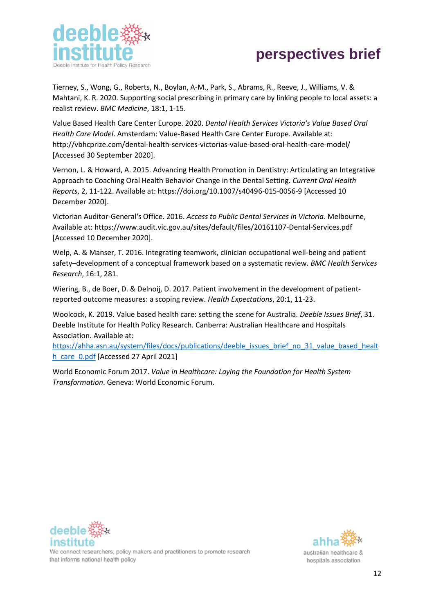

Tierney, S., Wong, G., Roberts, N., Boylan, A-M., Park, S., Abrams, R., Reeve, J., Williams, V. & Mahtani, K. R. 2020. Supporting social prescribing in primary care by linking people to local assets: a realist review. *BMC Medicine*, 18:1, 1-15.

Value Based Health Care Center Europe. 2020. *Dental Health Services Victoria's Value Based Oral Health Care Model*. Amsterdam: Value-Based Health Care Center Europe. Available at: http://vbhcprize.com/dental-health-services-victorias-value-based-oral-health-care-model/ [Accessed 30 September 2020].

Vernon, L. & Howard, A. 2015. Advancing Health Promotion in Dentistry: Articulating an Integrative Approach to Coaching Oral Health Behavior Change in the Dental Setting. *Current Oral Health Reports*, 2, 11-122. Available at: https://doi.org/10.1007/s40496-015-0056-9 [Accessed 10 December 2020].

Victorian Auditor-General's Office. 2016. *Access to Public Dental Services in Victoria.* Melbourne, Available at: https://www.audit.vic.gov.au/sites/default/files/20161107-Dental-Services.pdf [Accessed 10 December 2020].

Welp, A. & Manser, T. 2016. Integrating teamwork, clinician occupational well-being and patient safety–development of a conceptual framework based on a systematic review. *BMC Health Services Research*, 16:1, 281.

Wiering, B., de Boer, D. & Delnoij, D. 2017. Patient involvement in the development of patientreported outcome measures: a scoping review. *Health Expectations*, 20:1, 11-23.

Woolcock, K. 2019. Value based health care: setting the scene for Australia. *Deeble Issues Brief*, 31. Deeble Institute for Health Policy Research. Canberra: Australian Healthcare and Hospitals Association. Available at:

[https://ahha.asn.au/system/files/docs/publications/deeble\\_issues\\_brief\\_no\\_31\\_value\\_based\\_healt](https://ahha.asn.au/system/files/docs/publications/deeble_issues_brief_no_31_value_based_health_care_0.pdf) [h\\_care\\_0.pdf](https://ahha.asn.au/system/files/docs/publications/deeble_issues_brief_no_31_value_based_health_care_0.pdf) [Accessed 27 April 2021]

World Economic Forum 2017. *Value in Healthcare: Laying the Foundation for Health System Transformation*. Geneva: World Economic Forum.





australian healthcare & hospitals association